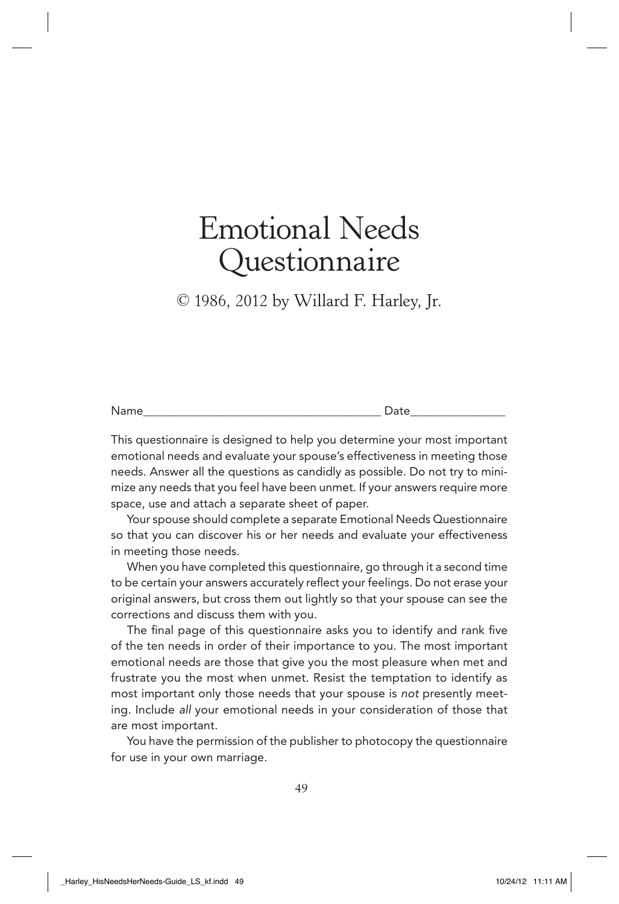© 1986, 2012 by Willard F. Harley, Jr.

This questionnaire is designed to help you determine your most important emotional needs and evaluate your spouse's effectiveness in meeting those needs. Answer all the questions as candidly as possible. Do not try to minimize any needs that you feel have been unmet. If your answers require more space, use and attach a separate sheet of paper.

Your spouse should complete a separate Emotional Needs Questionnaire so that you can discover his or her needs and evaluate your effectiveness in meeting those needs.

When you have completed this questionnaire, go through it a second time to be certain your answers accurately reflect your feelings. Do not erase your original answers, but cross them out lightly so that your spouse can see the corrections and discuss them with you.

The final page of this questionnaire asks you to identify and rank five of the ten needs in order of their importance to you. The most important emotional needs are those that give you the most pleasure when met and frustrate you the most when unmet. Resist the temptation to identify as most important only those needs that your spouse is not presently meeting. Include all your emotional needs in your consideration of those that are most important.

You have the permission of the publisher to photocopy the questionnaire for use in your own marriage.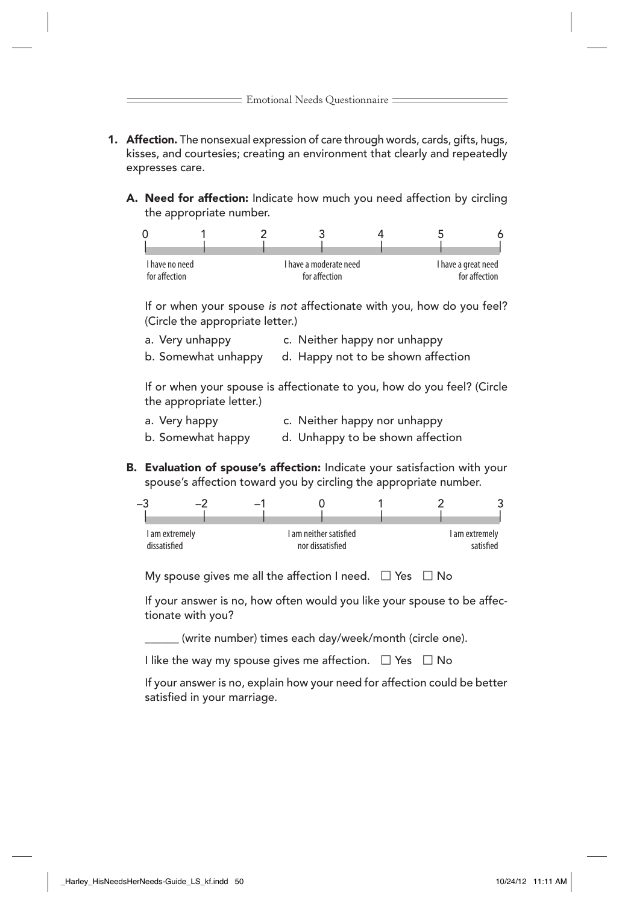- **1. Affection.** The nonsexual expression of care through words, cards, gifts, hugs, kisses, and courtesies; creating an environment that clearly and repeatedly expresses care.
	- A. Need for affection: Indicate how much you need affection by circling the appropriate number.



If or when your spouse is not affectionate with you, how do you feel? (Circle the appropriate letter.)

- a. Very unhappy c. Neither happy nor unhappy
- b. Somewhat unhappy d. Happy not to be shown affection

If or when your spouse is affectionate to you, how do you feel? (Circle the appropriate letter.)

- a. Very happy c. Neither happy nor unhappy
- b. Somewhat happy d. Unhappy to be shown affection
- B. Evaluation of spouse's affection: Indicate your satisfaction with your spouse's affection toward you by circling the appropriate number.



My spouse gives me all the affection I need.  $\Box$  Yes  $\Box$  No

If your answer is no, how often would you like your spouse to be affectionate with you?

(write number) times each day/week/month (circle one).

I like the way my spouse gives me affection.  $\Box$  Yes  $\Box$  No

If your answer is no, explain how your need for affection could be better satisfied in your marriage.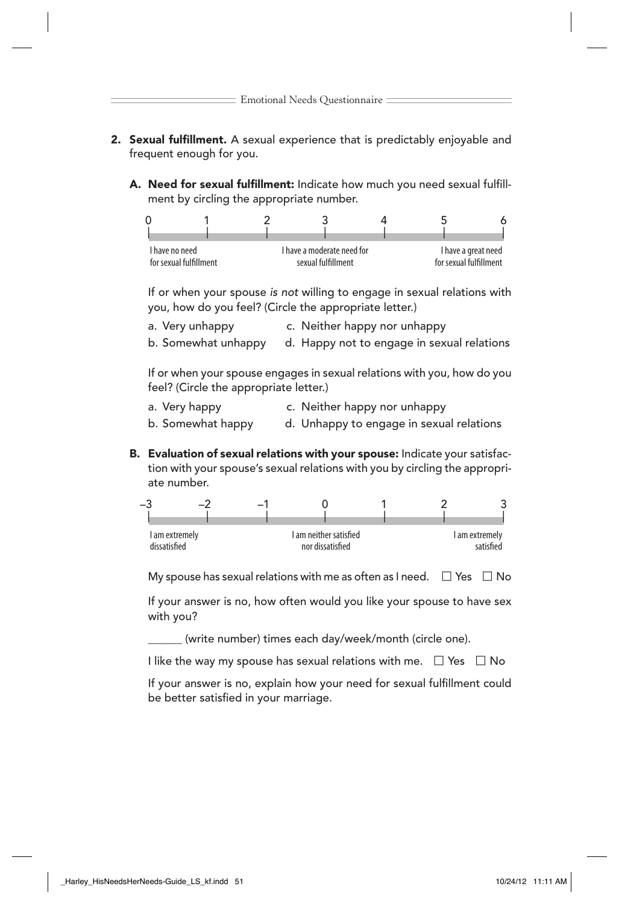- **2. Sexual fulfillment.** A sexual experience that is predictably enjoyable and frequent enough for you.
	- A. Need for sexual fulfillment: Indicate how much you need sexual fulfillment by circling the appropriate number.



If or when your spouse is not willing to engage in sexual relations with you, how do you feel? (Circle the appropriate letter.)

a. Very unhappy c. Neither happy nor unhappy

b. Somewhat unhappy d. Happy not to engage in sexual relations

If or when your spouse engages in sexual relations with you, how do you feel? (Circle the appropriate letter.)

a. Very happy c. Neither happy nor unhappy

b. Somewhat happy d. Unhappy to engage in sexual relations

B. Evaluation of sexual relations with your spouse: Indicate your satisfaction with your spouse's sexual relations with you by circling the appropriate number.



My spouse has sexual relations with me as often as I need.  $\Box$  Yes  $\Box$  No

If your answer is no, how often would you like your spouse to have sex with you?

(write number) times each day/week/month (circle one).

I like the way my spouse has sexual relations with me.  $\Box$  Yes  $\Box$  No

If your answer is no, explain how your need for sexual fulfillment could be better satisfied in your marriage.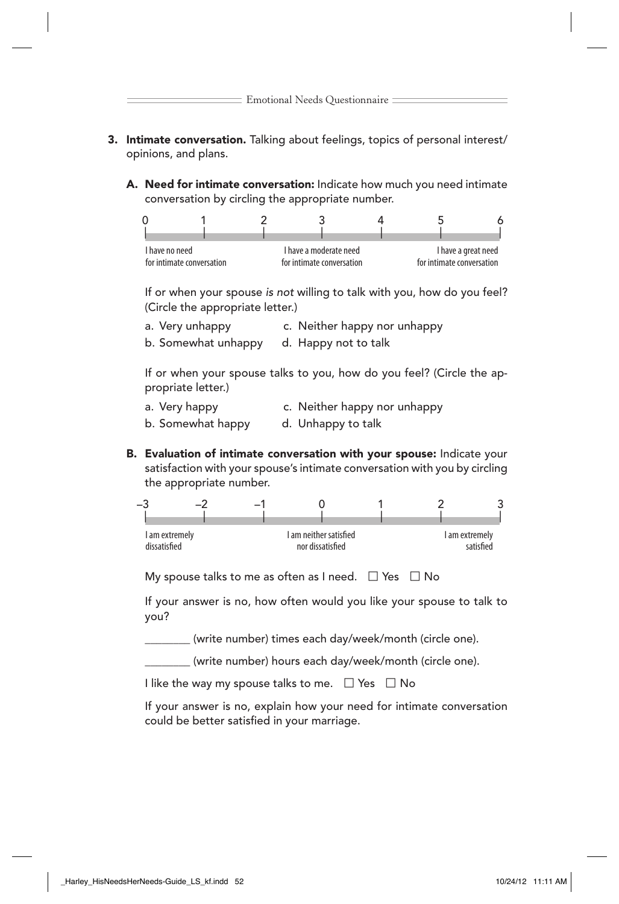- 3. Intimate conversation. Talking about feelings, topics of personal interest/ opinions, and plans.
	- A. Need for intimate conversation: Indicate how much you need intimate conversation by circling the appropriate number.



If or when your spouse is not willing to talk with you, how do you feel? (Circle the appropriate letter.)

- a. Very unhappy c. Neither happy nor unhappy
- b. Somewhat unhappy d. Happy not to talk

If or when your spouse talks to you, how do you feel? (Circle the appropriate letter.)

- a. Very happy c. Neither happy nor unhappy
- b. Somewhat happy d. Unhappy to talk
- B. Evaluation of intimate conversation with your spouse: Indicate your satisfaction with your spouse's intimate conversation with you by circling the appropriate number.



My spouse talks to me as often as I need.  $\Box$  Yes  $\Box$  No

If your answer is no, how often would you like your spouse to talk to you?

(write number) times each day/week/month (circle one).

(write number) hours each day/week/month (circle one).

I like the way my spouse talks to me.  $\Box$  Yes  $\Box$  No

If your answer is no, explain how your need for intimate conversation could be better satisfied in your marriage.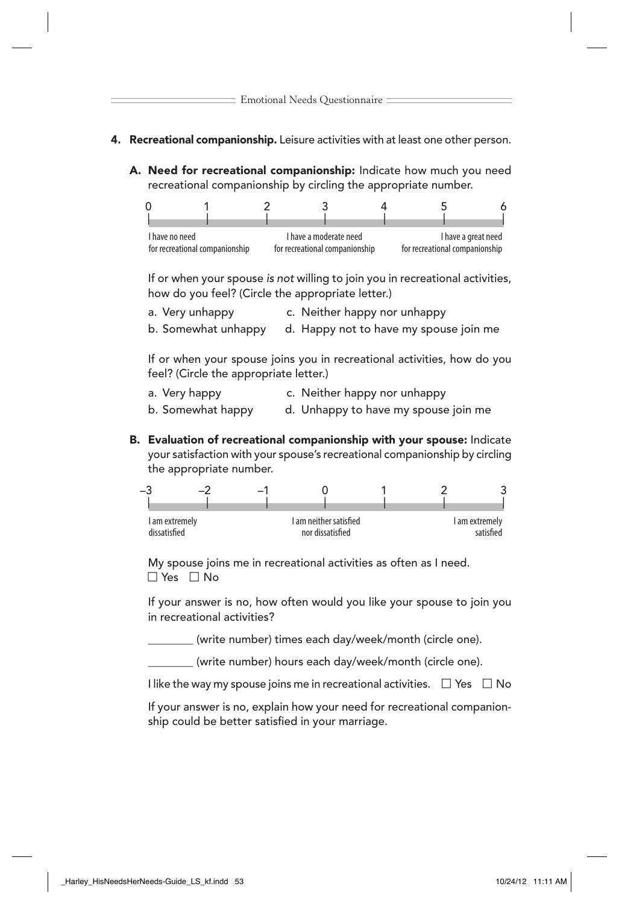- 4. Recreational companionship. Leisure activities with at least one other person.
	- A. Need for recreational companionship: Indicate how much you need recreational companionship by circling the appropriate number.

| I have no need                 |  | I have a moderate need         |  |  | I have a great need            |  |  |
|--------------------------------|--|--------------------------------|--|--|--------------------------------|--|--|
| for recreational companionship |  | for recreational companionship |  |  | for recreational companionship |  |  |

If or when your spouse is not willing to join you in recreational activities, how do you feel? (Circle the appropriate letter.)

a. Very unhappy c. Neither happy nor unhappy

b. Somewhat unhappy d. Happy not to have my spouse join me

If or when your spouse joins you in recreational activities, how do you feel? (Circle the appropriate letter.)

- a. Very happy c. Neither happy nor unhappy
- b. Somewhat happy d. Unhappy to have my spouse join me
- B. Evaluation of recreational companionship with your spouse: Indicate your satisfaction with your spouse's recreational companionship by circling the appropriate number.

| -3                             |  |                                            |  |                             |
|--------------------------------|--|--------------------------------------------|--|-----------------------------|
|                                |  |                                            |  |                             |
| I am extremely<br>dissatisfied |  | I am neither satisfied<br>nor dissatisfied |  | I am extremely<br>satisfied |
|                                |  |                                            |  |                             |

My spouse joins me in recreational activities as often as I need.  $\Box$  Yes  $\Box$  No

If your answer is no, how often would you like your spouse to join you in recreational activities?

\_\_\_\_\_\_\_\_ (write number) times each day/week/month (circle one).

(write number) hours each day/week/month (circle one).

I like the way my spouse joins me in recreational activities.  $\Box$  Yes  $\Box$  No

If your answer is no, explain how your need for recreational companionship could be better satisfied in your marriage.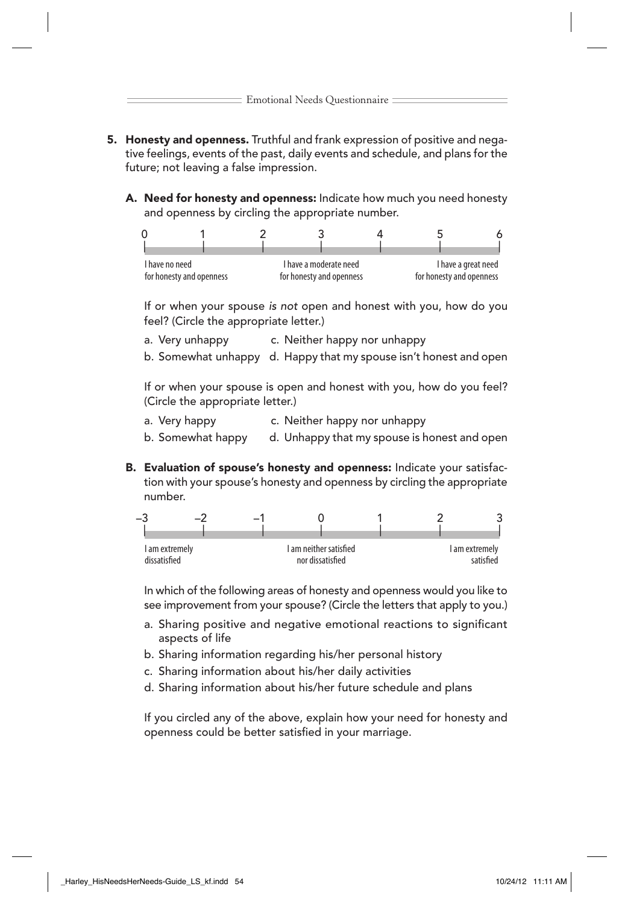- 5. Honesty and openness. Truthful and frank expression of positive and negative feelings, events of the past, daily events and schedule, and plans for the future; not leaving a false impression.
	- A. Need for honesty and openness: Indicate how much you need honesty and openness by circling the appropriate number.



If or when your spouse is not open and honest with you, how do you feel? (Circle the appropriate letter.)

- a. Very unhappy c. Neither happy nor unhappy
- b. Somewhat unhappy d. Happy that my spouse isn't honest and open

If or when your spouse is open and honest with you, how do you feel? (Circle the appropriate letter.)

- a. Very happy c. Neither happy nor unhappy
- b. Somewhat happy d. Unhappy that my spouse is honest and open
- B. Evaluation of spouse's honesty and openness: Indicate your satisfaction with your spouse's honesty and openness by circling the appropriate number.



In which of the following areas of honesty and openness would you like to see improvement from your spouse? (Circle the letters that apply to you.)

- a. Sharing positive and negative emotional reactions to significant aspects of life
- b. Sharing information regarding his/her personal history
- c. Sharing information about his/her daily activities
- d. Sharing information about his/her future schedule and plans

If you circled any of the above, explain how your need for honesty and openness could be better satisfied in your marriage.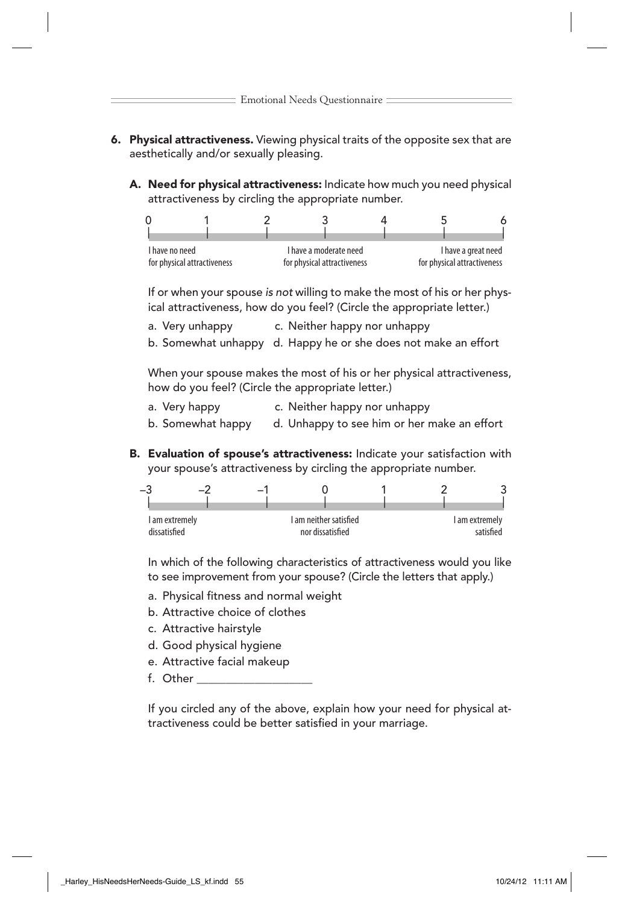- 6. Physical attractiveness. Viewing physical traits of the opposite sex that are aesthetically and/or sexually pleasing.
	- A. Need for physical attractiveness: Indicate how much you need physical attractiveness by circling the appropriate number.



If or when your spouse is not willing to make the most of his or her physical attractiveness, how do you feel? (Circle the appropriate letter.)

a. Very unhappy c. Neither happy nor unhappy

b. Somewhat unhappy d. Happy he or she does not make an effort

When your spouse makes the most of his or her physical attractiveness, how do you feel? (Circle the appropriate letter.)

a. Very happy c. Neither happy nor unhappy

b. Somewhat happy d. Unhappy to see him or her make an effort

B. Evaluation of spouse's attractiveness: Indicate your satisfaction with your spouse's attractiveness by circling the appropriate number.

| -3             | ÷ | $\overline{\phantom{0}}$ |                        |  |                |
|----------------|---|--------------------------|------------------------|--|----------------|
|                |   |                          |                        |  |                |
| I am extremely |   |                          | I am neither satisfied |  | I am extremely |
| dissatisfied   |   |                          | nor dissatisfied       |  | caticfied      |

In which of the following characteristics of attractiveness would you like to see improvement from your spouse? (Circle the letters that apply.)

- a. Physical fitness and normal weight
- b. Attractive choice of clothes
- c. Attractive hairstyle
- d. Good physical hygiene
- e. Attractive facial makeup
- f. Other \_\_\_\_\_\_\_\_\_\_\_\_\_\_\_\_\_\_\_\_

If you circled any of the above, explain how your need for physical attractiveness could be better satisfied in your marriage.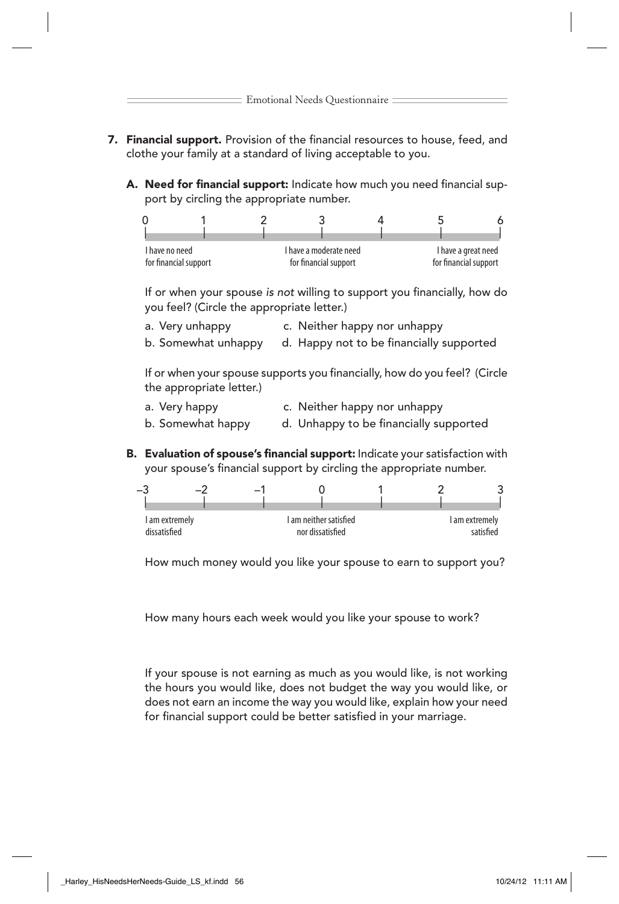- 7. Financial support. Provision of the financial resources to house, feed, and clothe your family at a standard of living acceptable to you.
	- A. Need for financial support: Indicate how much you need financial support by circling the appropriate number.



If or when your spouse is not willing to support you financially, how do you feel? (Circle the appropriate letter.)

a. Very unhappy c. Neither happy nor unhappy

b. Somewhat unhappy d. Happy not to be financially supported

If or when your spouse supports you financially, how do you feel? (Circle the appropriate letter.)

- a. Very happy c. Neither happy nor unhappy
- b. Somewhat happy d. Unhappy to be financially supported
- B. Evaluation of spouse's financial support: Indicate your satisfaction with your spouse's financial support by circling the appropriate number.

| ÷                              |  | $\overline{\phantom{0}}$ |                                            |  |                             |
|--------------------------------|--|--------------------------|--------------------------------------------|--|-----------------------------|
| I am extremely<br>dissatisfied |  |                          | I am neither satisfied<br>nor dissatisfied |  | I am extremely<br>satisfied |

How much money would you like your spouse to earn to support you?

How many hours each week would you like your spouse to work?

If your spouse is not earning as much as you would like, is not working the hours you would like, does not budget the way you would like, or does not earn an income the way you would like, explain how your need for financial support could be better satisfied in your marriage.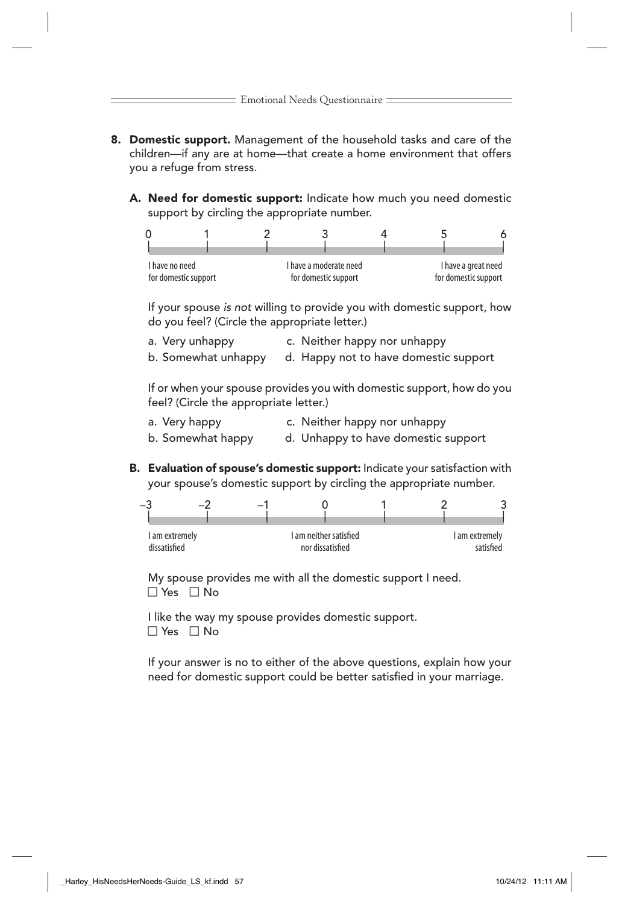- 8. Domestic support. Management of the household tasks and care of the children—if any are at home—that create a home environment that offers you a refuge from stress.
	- A. Need for domestic support: Indicate how much you need domestic support by circling the appropriate number.



If your spouse is not willing to provide you with domestic support, how do you feel? (Circle the appropriate letter.)

- a. Very unhappy c. Neither happy nor unhappy
- b. Somewhat unhappy d. Happy not to have domestic support

If or when your spouse provides you with domestic support, how do you feel? (Circle the appropriate letter.)

- a. Very happy c. Neither happy nor unhappy
- b. Somewhat happy d. Unhappy to have domestic support
- B. Evaluation of spouse's domestic support: Indicate your satisfaction with your spouse's domestic support by circling the appropriate number.



My spouse provides me with all the domestic support I need.  $\Box$  Yes  $\Box$  No

I like the way my spouse provides domestic support.  $\Box$  Yes  $\Box$  No

If your answer is no to either of the above questions, explain how your need for domestic support could be better satisfied in your marriage.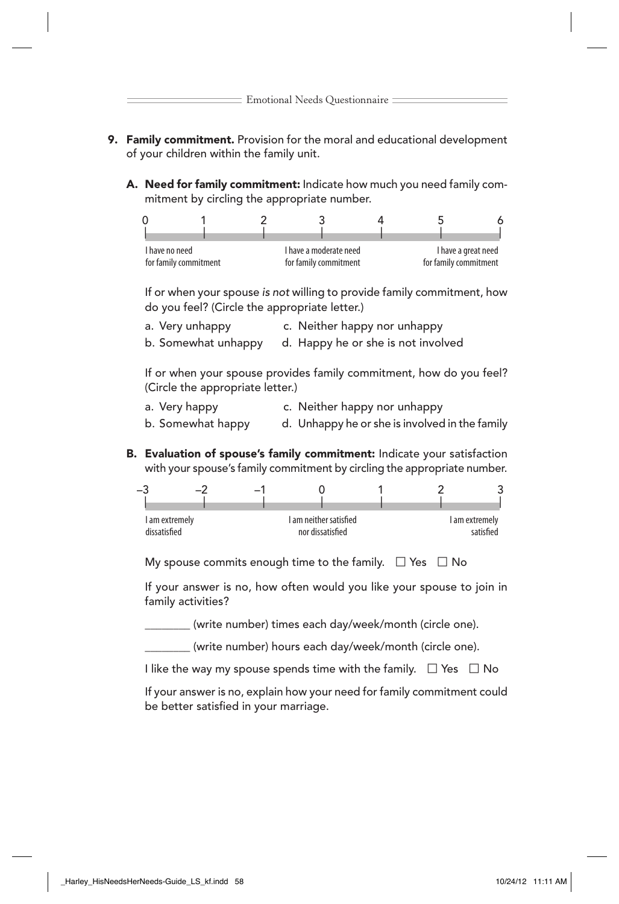- 9. Family commitment. Provision for the moral and educational development of your children within the family unit.
	- A. Need for family commitment: Indicate how much you need family commitment by circling the appropriate number.



If or when your spouse is not willing to provide family commitment, how do you feel? (Circle the appropriate letter.)

a. Very unhappy c. Neither happy nor unhappy

b. Somewhat unhappy d. Happy he or she is not involved

If or when your spouse provides family commitment, how do you feel? (Circle the appropriate letter.)

- a. Very happy c. Neither happy nor unhappy
- b. Somewhat happy d. Unhappy he or she is involved in the family
- B. Evaluation of spouse's family commitment: Indicate your satisfaction with your spouse's family commitment by circling the appropriate number.

| -3                             | $\overline{\phantom{0}}$ |                                            |  |                             |
|--------------------------------|--------------------------|--------------------------------------------|--|-----------------------------|
| I am extremely<br>dissatisfied |                          | I am neither satisfied<br>nor dissatisfied |  | I am extremely<br>satisfied |

My spouse commits enough time to the family.  $\Box$  Yes  $\Box$  No

If your answer is no, how often would you like your spouse to join in family activities?

(write number) times each day/week/month (circle one).

(write number) hours each day/week/month (circle one).

I like the way my spouse spends time with the family.  $\Box$  Yes  $\Box$  No

If your answer is no, explain how your need for family commitment could be better satisfied in your marriage.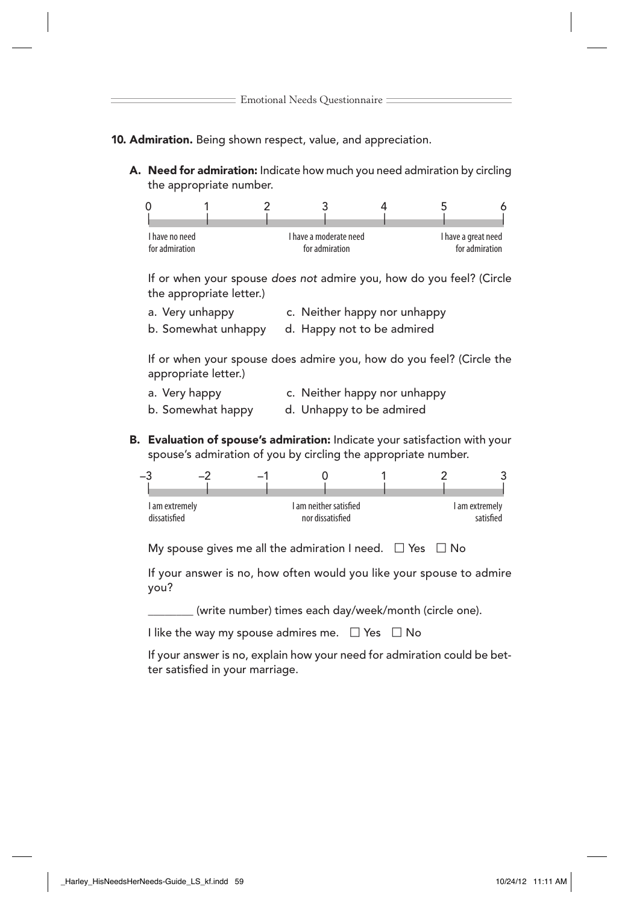## 10. Admiration. Being shown respect, value, and appreciation.

A. Need for admiration: Indicate how much you need admiration by circling the appropriate number.



If or when your spouse does not admire you, how do you feel? (Circle the appropriate letter.)

- a. Very unhappy c. Neither happy nor unhappy
- b. Somewhat unhappy d. Happy not to be admired

If or when your spouse does admire you, how do you feel? (Circle the appropriate letter.)

- a. Very happy c. Neither happy nor unhappy
- b. Somewhat happy d. Unhappy to be admired
- B. Evaluation of spouse's admiration: Indicate your satisfaction with your spouse's admiration of you by circling the appropriate number.



My spouse gives me all the admiration I need.  $\Box$  Yes  $\Box$  No

If your answer is no, how often would you like your spouse to admire you?

(write number) times each day/week/month (circle one).

I like the way my spouse admires me.  $\Box$  Yes  $\Box$  No

If your answer is no, explain how your need for admiration could be better satisfied in your marriage.